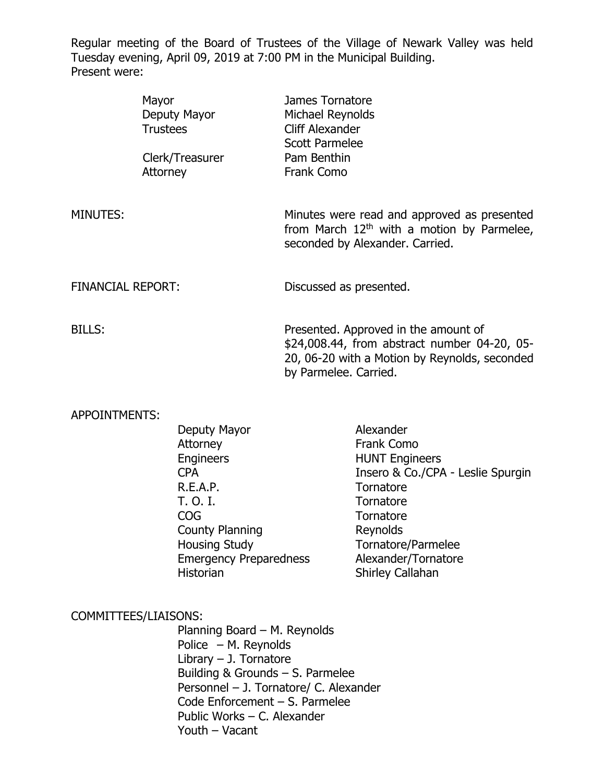Regular meeting of the Board of Trustees of the Village of Newark Valley was held Tuesday evening, April 09, 2019 at 7:00 PM in the Municipal Building. Present were:

|                   | Mayor<br>Deputy Mayor<br><b>Trustees</b> | James Tornatore<br>Michael Reynolds<br>Cliff Alexander<br><b>Scott Parmelee</b>                                                                                |
|-------------------|------------------------------------------|----------------------------------------------------------------------------------------------------------------------------------------------------------------|
|                   | Clerk/Treasurer<br>Attorney              | Pam Benthin<br>Frank Como                                                                                                                                      |
| MINUTES:          |                                          | Minutes were read and approved as presented<br>from March $12th$ with a motion by Parmelee,<br>seconded by Alexander. Carried.                                 |
| FINANCIAL REPORT: |                                          | Discussed as presented.                                                                                                                                        |
| BILLS:            |                                          | Presented. Approved in the amount of<br>\$24,008.44, from abstract number 04-20, 05-<br>20, 06-20 with a Motion by Reynolds, seconded<br>by Parmelee. Carried. |

#### APPOINTMENTS:

| Deputy Mayor                  | Alexander                         |
|-------------------------------|-----------------------------------|
| Attorney                      | Frank Como                        |
| Engineers                     | <b>HUNT Engineers</b>             |
| CPA                           | Insero & Co./CPA - Leslie Spurgin |
| R.E.A.P.                      | Tornatore                         |
| T. O. I.                      | Tornatore                         |
| COG                           | Tornatore                         |
| <b>County Planning</b>        | Reynolds                          |
| <b>Housing Study</b>          | Tornatore/Parmelee                |
| <b>Emergency Preparedness</b> | Alexander/Tornatore               |
| Historian                     | Shirley Callahan                  |
|                               |                                   |

#### COMMITTEES/LIAISONS:

Planning Board – M. Reynolds Police – M. Reynolds Library – J. Tornatore Building & Grounds – S. Parmelee Personnel – J. Tornatore/ C. Alexander Code Enforcement – S. Parmelee Public Works – C. Alexander Youth – Vacant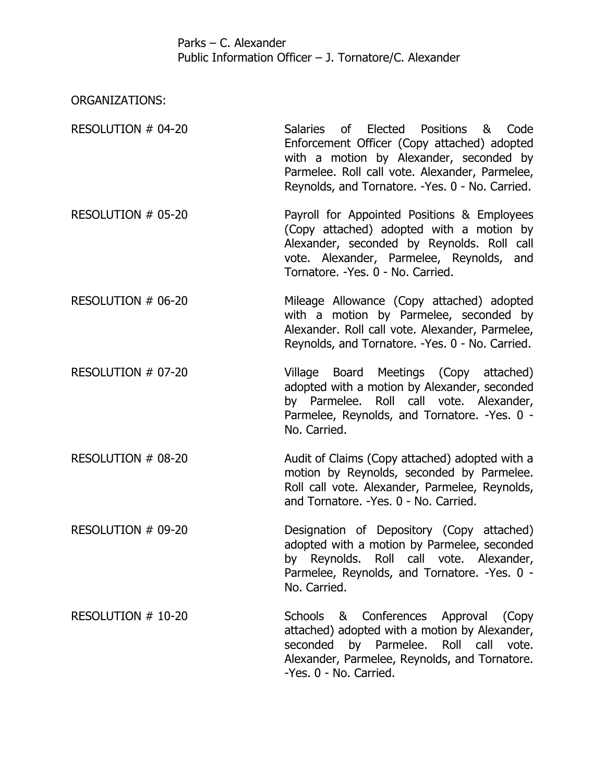## Parks – C. Alexander Public Information Officer – J. Tornatore/C. Alexander

ORGANIZATIONS:

| RESOLUTION # 04-20 | Salaries of Elected Positions & Code             |
|--------------------|--------------------------------------------------|
|                    | Enforcement Officer (Copy attached) adopted      |
|                    | with a motion by Alexander, seconded by          |
|                    | Parmelee. Roll call vote. Alexander, Parmelee,   |
|                    | Reynolds, and Tornatore. - Yes. 0 - No. Carried. |
|                    |                                                  |

- RESOLUTION # 05-20 Payroll for Appointed Positions & Employees (Copy attached) adopted with a motion by Alexander, seconded by Reynolds. Roll call vote. Alexander, Parmelee, Reynolds, and Tornatore. -Yes. 0 - No. Carried.
- RESOLUTION # 06-20 Mileage Allowance (Copy attached) adopted with a motion by Parmelee, seconded by Alexander. Roll call vote. Alexander, Parmelee, Reynolds, and Tornatore. -Yes. 0 - No. Carried.
- RESOLUTION # 07-20 Village Board Meetings (Copy attached) adopted with a motion by Alexander, seconded by Parmelee. Roll call vote. Alexander, Parmelee, Reynolds, and Tornatore. -Yes. 0 - No. Carried.
- RESOLUTION # 08-20 Audit of Claims (Copy attached) adopted with a motion by Reynolds, seconded by Parmelee. Roll call vote. Alexander, Parmelee, Reynolds, and Tornatore. -Yes. 0 - No. Carried.
- RESOLUTION # 09-20 Designation of Depository (Copy attached) adopted with a motion by Parmelee, seconded by Reynolds. Roll call vote. Alexander, Parmelee, Reynolds, and Tornatore. -Yes. 0 - No. Carried.
- RESOLUTION # 10-20 Schools & Conferences Approval (Copy attached) adopted with a motion by Alexander, seconded by Parmelee. Roll call vote. Alexander, Parmelee, Reynolds, and Tornatore. -Yes. 0 - No. Carried.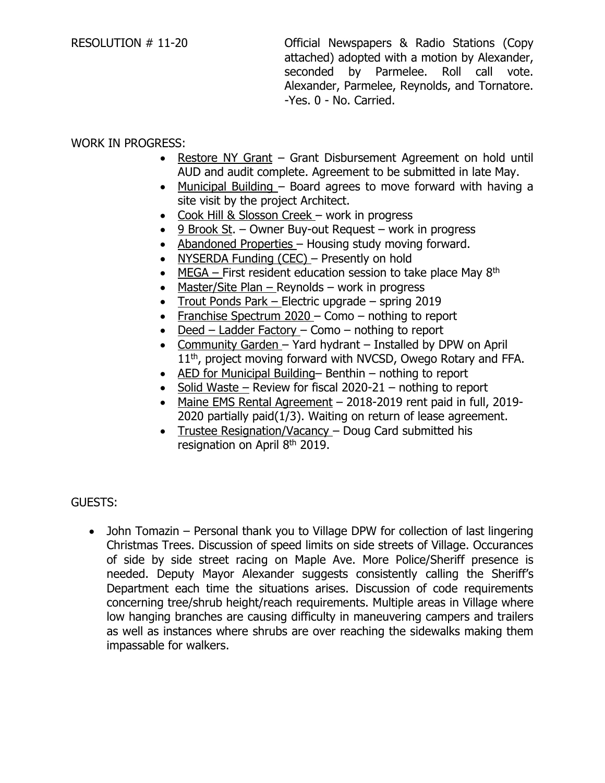RESOLUTION # 11-20 Official Newspapers & Radio Stations (Copy attached) adopted with a motion by Alexander, seconded by Parmelee. Roll call vote. Alexander, Parmelee, Reynolds, and Tornatore. -Yes. 0 - No. Carried.

# WORK IN PROGRESS:

- Restore NY Grant Grant Disbursement Agreement on hold until AUD and audit complete. Agreement to be submitted in late May.
- Municipal Building Board agrees to move forward with having a site visit by the project Architect.
- Cook Hill & Slosson Creek work in progress
- 9 Brook St. Owner Buy-out Request work in progress
- Abandoned Properties Housing study moving forward.
- NYSERDA Funding (CEC) Presently on hold
- MEGA First resident education session to take place May  $8<sup>th</sup>$
- Master/Site Plan Reynolds work in progress
- Trout Ponds Park Electric upgrade spring 2019
- Franchise Spectrum 2020 Como nothing to report
- Deed Ladder Factory Como nothing to report
- Community Garden Yard hydrant Installed by DPW on April 11<sup>th</sup>, project moving forward with NVCSD, Owego Rotary and FFA.
- AED for Municipal Building– Benthin nothing to report
- Solid Waste Review for fiscal  $2020-21$  nothing to report
- Maine EMS Rental Agreement 2018-2019 rent paid in full, 2019- 2020 partially paid(1/3). Waiting on return of lease agreement.
- Trustee Resignation/Vacancy Doug Card submitted his resignation on April 8<sup>th</sup> 2019.

## GUESTS:

• John Tomazin – Personal thank you to Village DPW for collection of last lingering Christmas Trees. Discussion of speed limits on side streets of Village. Occurances of side by side street racing on Maple Ave. More Police/Sheriff presence is needed. Deputy Mayor Alexander suggests consistently calling the Sheriff's Department each time the situations arises. Discussion of code requirements concerning tree/shrub height/reach requirements. Multiple areas in Village where low hanging branches are causing difficulty in maneuvering campers and trailers as well as instances where shrubs are over reaching the sidewalks making them impassable for walkers.